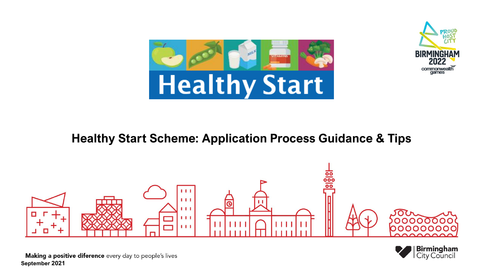



#### **Healthy Start Scheme: Application Process Guidance & Tips**





Making a positive diference every day to people's lives **September 2021**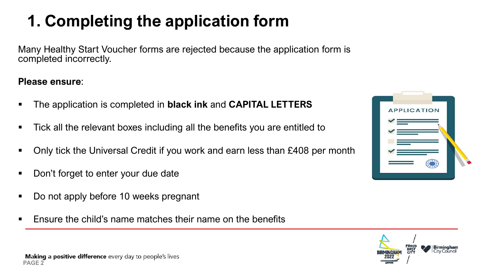## **1. Completing the application form**

Many Healthy Start Voucher forms are rejected because the application form is completed incorrectly.

#### **Please ensure**:

- The application is completed in **black ink** and **CAPITAL LETTERS**
- Tick all the relevant boxes including all the benefits you are entitled to
- Only tick the Universal Credit if you work and earn less than £408 per month
- Don't forget to enter your due date
- Do not apply before 10 weeks pregnant
- Ensure the child's name matches their name on the benefits



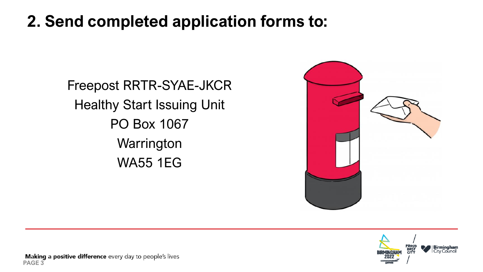#### **2. Send completed application forms to:**

Freepost RRTR-SYAE-JKCR Healthy Start Issuing Unit PO Box 1067 **Warrington** WA55 1EG



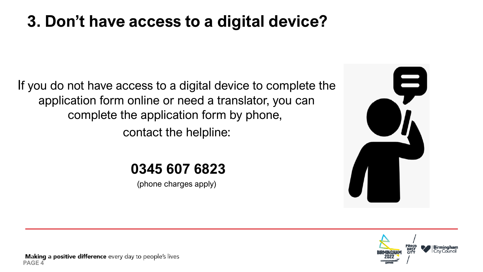#### **3. Don't have access to a digital device?**

If you do not have access to a digital device to complete the application form online or need a translator, you can complete the application form by phone, contact the helpline:

#### **0345 607 6823**

(phone charges apply)



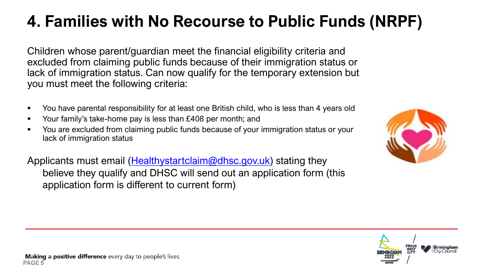# **4. Families with No Recourse to Public Funds (NRPF)**

Children whose parent/guardian meet the financial eligibility criteria and excluded from claiming public funds because of their immigration status or lack of immigration status. Can now qualify for the temporary extension but you must meet the following criteria:

- You have parental responsibility for at least one British child, who is less than 4 years old
- Your family's take-home pay is less than £408 per month; and
- You are excluded from claiming public funds because of your immigration status or your lack of immigration status

Applicants must email ([Healthystartclaim@dhsc.gov.uk\)](mailto:Healthystartclaim@dhsc.gov.uk) stating they believe they qualify and DHSC will send out an application form (this application form is different to current form)